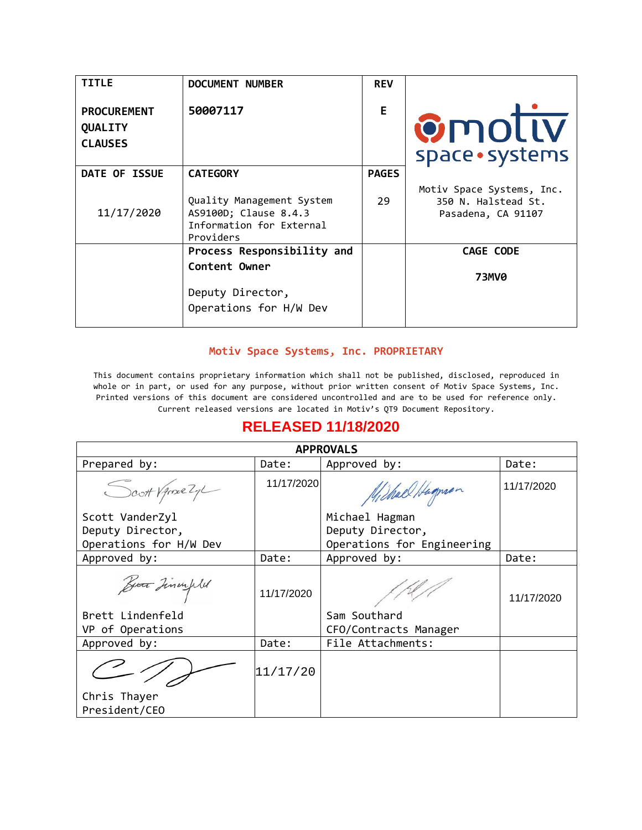| <b>TITLE</b>                                    | DOCUMENT NUMBER                                                                             | <b>REV</b>   |                                                                        |
|-------------------------------------------------|---------------------------------------------------------------------------------------------|--------------|------------------------------------------------------------------------|
| <b>PROCUREMENT</b><br>QUALITY<br><b>CLAUSES</b> | 50007117                                                                                    | E            | <b>Ømollv</b><br>space · systems                                       |
| DATE OF ISSUE                                   | <b>CATEGORY</b>                                                                             | <b>PAGES</b> |                                                                        |
| 11/17/2020                                      | Quality Management System<br>AS9100D; Clause 8.4.3<br>Information for External<br>Providers | 29           | Motiv Space Systems, Inc.<br>350 N. Halstead St.<br>Pasadena, CA 91107 |
|                                                 | Process Responsibility and                                                                  |              | CAGE CODE                                                              |
|                                                 | Content Owner<br>Deputy Director,                                                           |              | <b>73MV0</b>                                                           |
|                                                 | Operations for H/W Dev                                                                      |              |                                                                        |

#### **Motiv Space Systems, Inc. PROPRIETARY**

This document contains proprietary information which shall not be published, disclosed, reproduced in whole or in part, or used for any purpose, without prior written consent of Motiv Space Systems, Inc. Printed versions of this document are considered uncontrolled and are to be used for reference only. Current released versions are located in Motiv's QT9 Document Repository.

| <b>RELEASED 11/18/2020</b> |            |                            |            |
|----------------------------|------------|----------------------------|------------|
| <b>APPROVALS</b>           |            |                            |            |
| Prepared by:               | Date:      | Approved by:               | Date:      |
| Scott Vance Zy             | 11/17/2020 | Michael Hagnan             | 11/17/2020 |
| Scott VanderZyl            |            | Michael Hagman             |            |
| Deputy Director,           |            | Deputy Director,           |            |
| Operations for H/W Dev     |            | Operations for Engineering |            |
| Approved by:               | Date:      | Approved by:               | Date:      |
| But Tinauples              | 11/17/2020 |                            | 11/17/2020 |
| Brett Lindenfeld           |            | Sam Southard               |            |
| VP of Operations           |            | CFO/Contracts Manager      |            |
| Approved by:               | Date:      | File Attachments:          |            |
|                            | 11/17/20   |                            |            |
| Chris Thayer               |            |                            |            |
| President/CEO              |            |                            |            |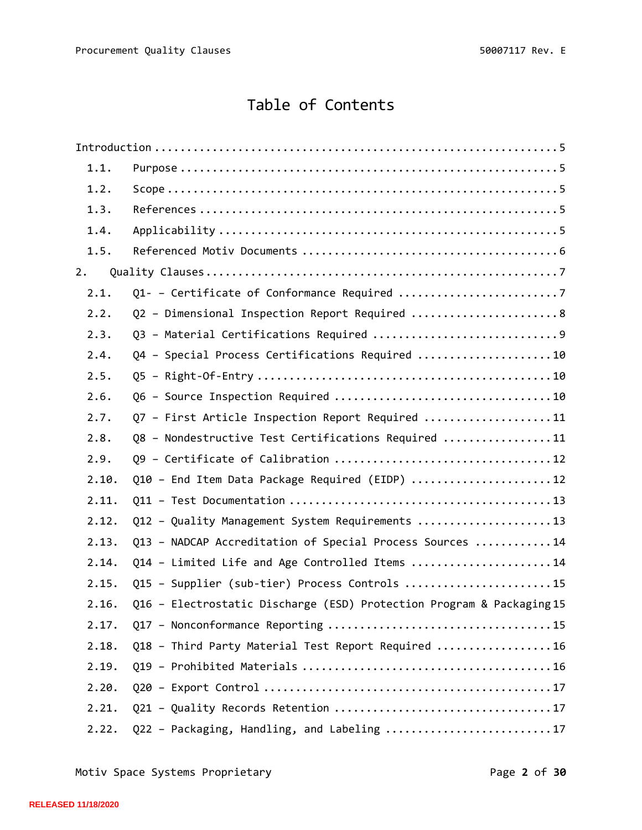# Table of Contents

| 1.1.  |                                                                       |
|-------|-----------------------------------------------------------------------|
| 1.2.  |                                                                       |
| 1.3.  |                                                                       |
| 1.4.  |                                                                       |
| 1.5.  |                                                                       |
| 2.    |                                                                       |
| 2.1.  |                                                                       |
| 2.2.  | Q2 - Dimensional Inspection Report Required  8                        |
| 2.3.  |                                                                       |
| 2.4.  | Q4 - Special Process Certifications Required 10                       |
| 2.5.  |                                                                       |
| 2.6.  |                                                                       |
| 2.7.  | Q7 - First Article Inspection Report Required 11                      |
| 2.8.  | Q8 - Nondestructive Test Certifications Required 11                   |
| 2.9.  |                                                                       |
| 2.10. | Q10 - End Item Data Package Required (EIDP) 12                        |
| 2.11. |                                                                       |
| 2.12. | Q12 - Quality Management System Requirements 13                       |
| 2.13. | Q13 - NADCAP Accreditation of Special Process Sources 14              |
| 2.14. | Q14 - Limited Life and Age Controlled Items 14                        |
| 2.15. | Q15 - Supplier (sub-tier) Process Controls 15                         |
| 2.16. | Q16 - Electrostatic Discharge (ESD) Protection Program & Packaging 15 |
| 2.17. |                                                                       |
| 2.18. | Q18 - Third Party Material Test Report Required  16                   |
| 2.19. |                                                                       |
| 2.20. |                                                                       |
| 2.21. |                                                                       |
| 2.22. | Q22 - Packaging, Handling, and Labeling 17                            |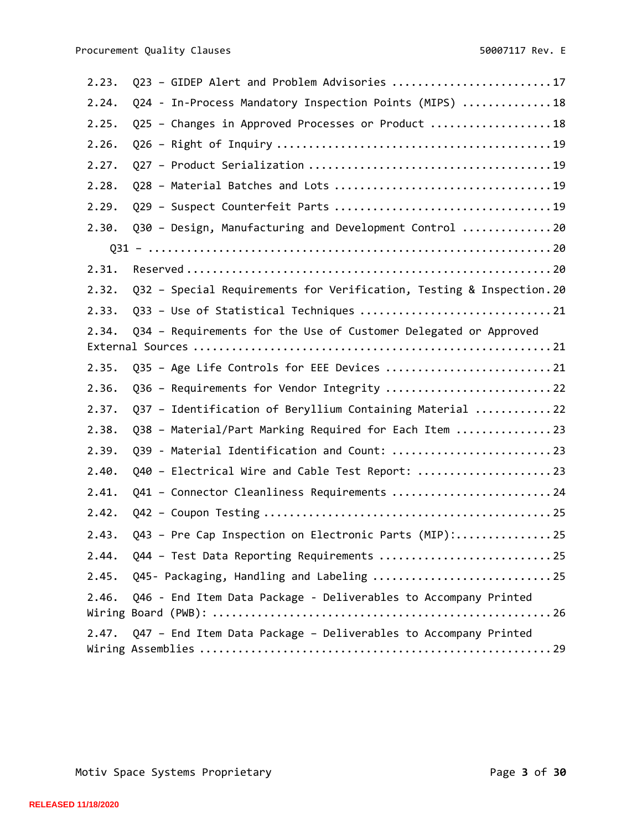| 2.23. | Q23 - GIDEP Alert and Problem Advisories 17                           |
|-------|-----------------------------------------------------------------------|
| 2.24. | Q24 - In-Process Mandatory Inspection Points (MIPS) 18                |
| 2.25. | Q25 - Changes in Approved Processes or Product 18                     |
| 2.26. |                                                                       |
| 2.27. |                                                                       |
| 2.28. |                                                                       |
| 2.29. |                                                                       |
| 2.30. | Q30 - Design, Manufacturing and Development Control 20                |
|       |                                                                       |
| 2.31. |                                                                       |
| 2.32. | Q32 - Special Requirements for Verification, Testing & Inspection. 20 |
| 2.33. |                                                                       |
| 2.34. | Q34 - Requirements for the Use of Customer Delegated or Approved      |
|       |                                                                       |
| 2.35. | Q35 - Age Life Controls for EEE Devices 21                            |
| 2.36. | Q36 - Requirements for Vendor Integrity  22                           |
| 2.37. | Q37 - Identification of Beryllium Containing Material 22              |
| 2.38. | Q38 - Material/Part Marking Required for Each Item 23                 |
| 2.39. | Q39 - Material Identification and Count:  23                          |
| 2.40. | Q40 - Electrical Wire and Cable Test Report: 23                       |
| 2.41. | Q41 - Connector Cleanliness Requirements 24                           |
| 2.42. |                                                                       |
| 2.43. | Q43 - Pre Cap Inspection on Electronic Parts (MIP):25                 |
| 2.44. |                                                                       |
| 2.45. | Q45- Packaging, Handling and Labeling 25                              |
| 2.46. | Q46 - End Item Data Package - Deliverables to Accompany Printed       |
| 2.47. | Q47 - End Item Data Package - Deliverables to Accompany Printed       |

Motiv Space Systems Proprietary **Page 3** of 30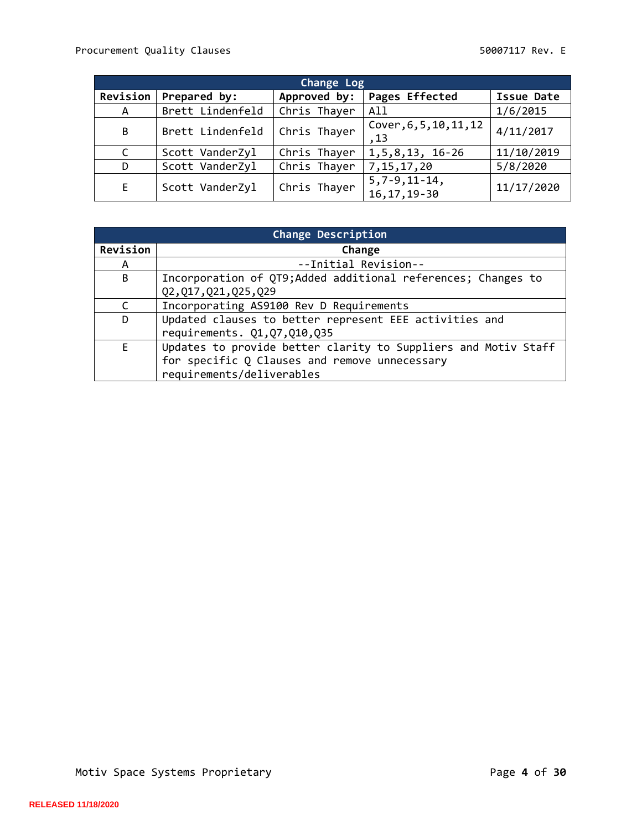| Change Log   |                  |              |                                       |                   |
|--------------|------------------|--------------|---------------------------------------|-------------------|
| Revision     | Prepared by:     | Approved by: | Pages Effected                        | <b>Issue Date</b> |
| A            | Brett Lindenfeld | Chris Thayer | All                                   | 1/6/2015          |
| B            | Brett Lindenfeld | Chris Thayer | Cover, 6, 5, 10, 11, 12<br>,13        | 4/11/2017         |
| $\mathsf{C}$ | Scott VanderZyl  | Chris Thayer | $1, 5, 8, 13, 16 - 26$                | 11/10/2019        |
| D            | Scott VanderZyl  | Chris Thayer | 7, 15, 17, 20                         | 5/8/2020          |
| E.           | Scott VanderZyl  | Chris Thayer | $5, 7 - 9, 11 - 14,$<br>16, 17, 19-30 | 11/17/2020        |

| Change Description |                                                                |  |
|--------------------|----------------------------------------------------------------|--|
| Revision           | Change                                                         |  |
| A                  | --Initial Revision--                                           |  |
| B                  | Incorporation of QT9; Added additional references; Changes to  |  |
|                    | Q2, Q17, Q21, Q25, Q29                                         |  |
| C                  | Incorporating AS9100 Rev D Requirements                        |  |
| D                  | Updated clauses to better represent EEE activities and         |  |
|                    | requirements. Q1, Q7, Q10, Q35                                 |  |
| E                  | Updates to provide better clarity to Suppliers and Motiv Staff |  |
|                    | for specific Q Clauses and remove unnecessary                  |  |
|                    | requirements/deliverables                                      |  |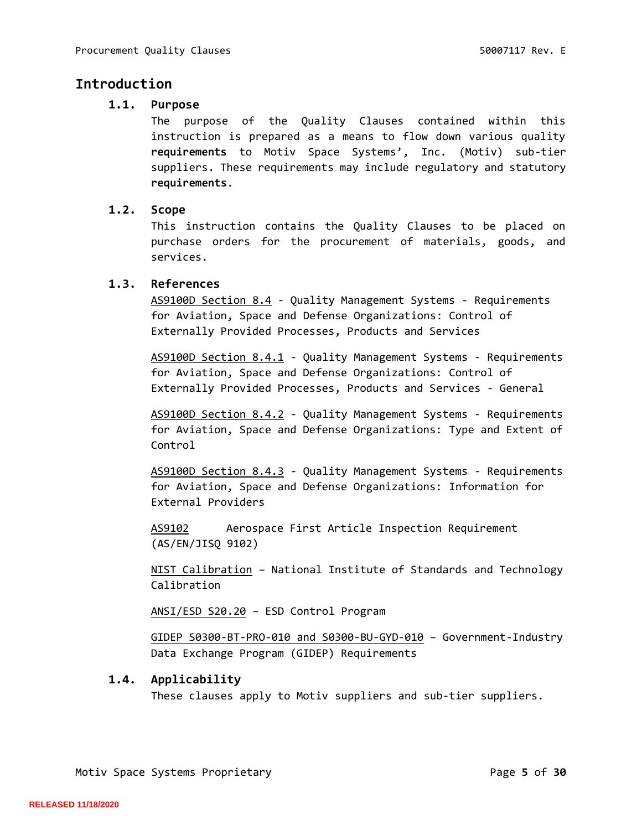# <span id="page-4-1"></span><span id="page-4-0"></span>**Introduction**

# **1.1. Purpose**

The purpose of the Quality Clauses contained within this instruction is prepared as a means to flow down various quality **requirements** to Motiv Space Systems', Inc. (Motiv) sub-tier suppliers. These requirements may include regulatory and statutory **requirements**.

# <span id="page-4-2"></span>**1.2. Scope**

This instruction contains the Quality Clauses to be placed on purchase orders for the procurement of materials, goods, and services.

# <span id="page-4-3"></span>**1.3. References**

AS9100D Section 8.4 - Quality Management Systems - Requirements for Aviation, Space and Defense Organizations: Control of Externally Provided Processes, Products and Services

AS9100D Section 8.4.1 - Quality Management Systems - Requirements for Aviation, Space and Defense Organizations: Control of Externally Provided Processes, Products and Services - General

AS9100D Section 8.4.2 - Quality Management Systems - Requirements for Aviation, Space and Defense Organizations: Type and Extent of Control

AS9100D Section 8.4.3 - Quality Management Systems - Requirements for Aviation, Space and Defense Organizations: Information for External Providers

AS9102 Aerospace First Article Inspection Requirement (AS/EN/JISQ 9102)

NIST Calibration – National Institute of Standards and Technology Calibration

ANSI/ESD S20.20 – ESD Control Program

GIDEP S0300-BT-PRO-010 and S0300-BU-GYD-010 – Government-Industry Data Exchange Program (GIDEP) Requirements

# <span id="page-4-4"></span>**1.4. Applicability**

These clauses apply to Motiv suppliers and sub-tier suppliers.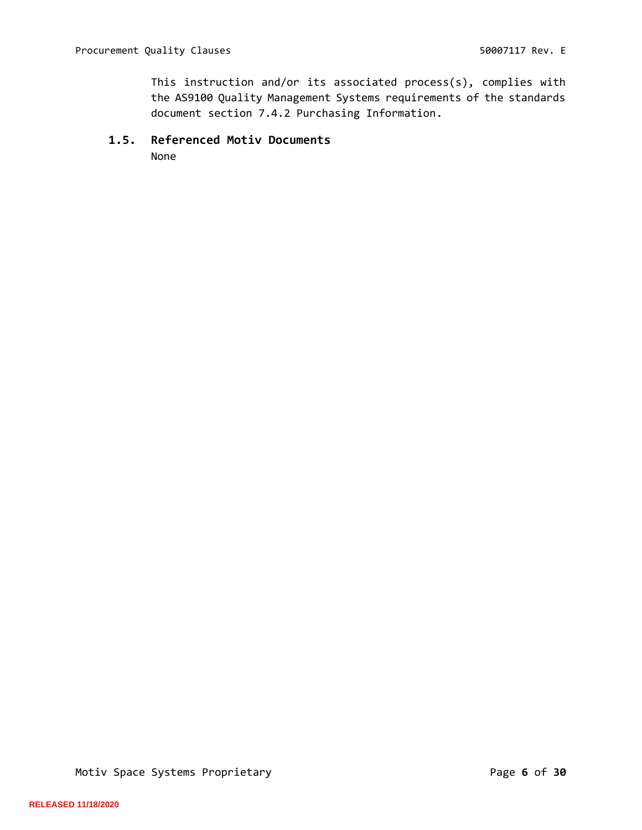This instruction and/or its associated process(s), complies with the AS9100 Quality Management Systems requirements of the standards document section 7.4.2 Purchasing Information.

#### <span id="page-5-0"></span>**1.5. Referenced Motiv Documents**

None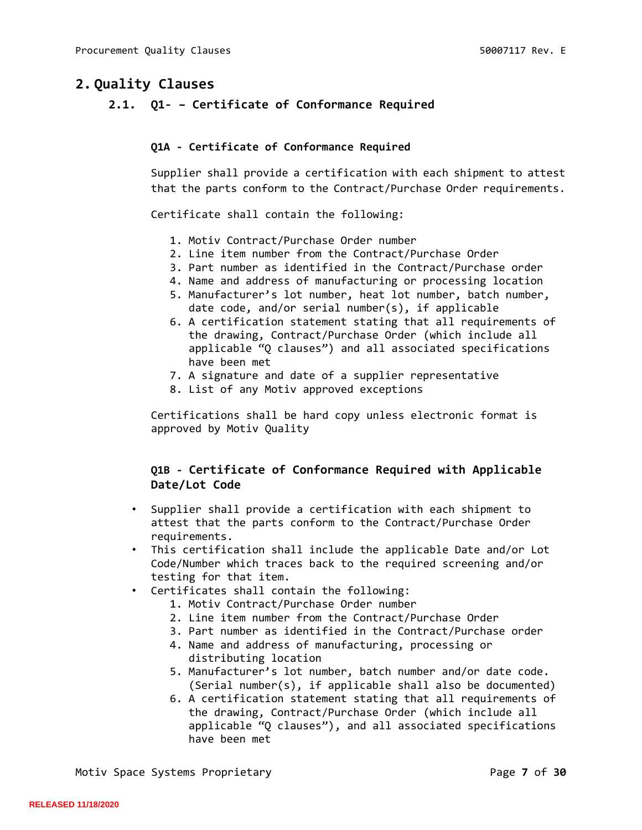# <span id="page-6-1"></span><span id="page-6-0"></span>**2. Quality Clauses**

**2.1. Q1- – Certificate of Conformance Required**

#### **Q1A - Certificate of Conformance Required**

Supplier shall provide a certification with each shipment to attest that the parts conform to the Contract/Purchase Order requirements.

Certificate shall contain the following:

- 1. Motiv Contract/Purchase Order number
- 2. Line item number from the Contract/Purchase Order
- 3. Part number as identified in the Contract/Purchase order
- 4. Name and address of manufacturing or processing location
- 5. Manufacturer's lot number, heat lot number, batch number, date code, and/or serial number(s), if applicable
- 6. A certification statement stating that all requirements of the drawing, Contract/Purchase Order (which include all applicable "Q clauses") and all associated specifications have been met
- 7. A signature and date of a supplier representative
- 8. List of any Motiv approved exceptions

Certifications shall be hard copy unless electronic format is approved by Motiv Quality

# **Q1B - Certificate of Conformance Required with Applicable Date/Lot Code**

- Supplier shall provide a certification with each shipment to attest that the parts conform to the Contract/Purchase Order requirements.
- This certification shall include the applicable Date and/or Lot Code/Number which traces back to the required screening and/or testing for that item.
- Certificates shall contain the following:
	- 1. Motiv Contract/Purchase Order number
	- 2. Line item number from the Contract/Purchase Order
	- 3. Part number as identified in the Contract/Purchase order
	- 4. Name and address of manufacturing, processing or distributing location
	- 5. Manufacturer's lot number, batch number and/or date code. (Serial number(s), if applicable shall also be documented)
	- 6. A certification statement stating that all requirements of the drawing, Contract/Purchase Order (which include all applicable "Q clauses"), and all associated specifications have been met

Motiv Space Systems Proprietary **Page 7** of 30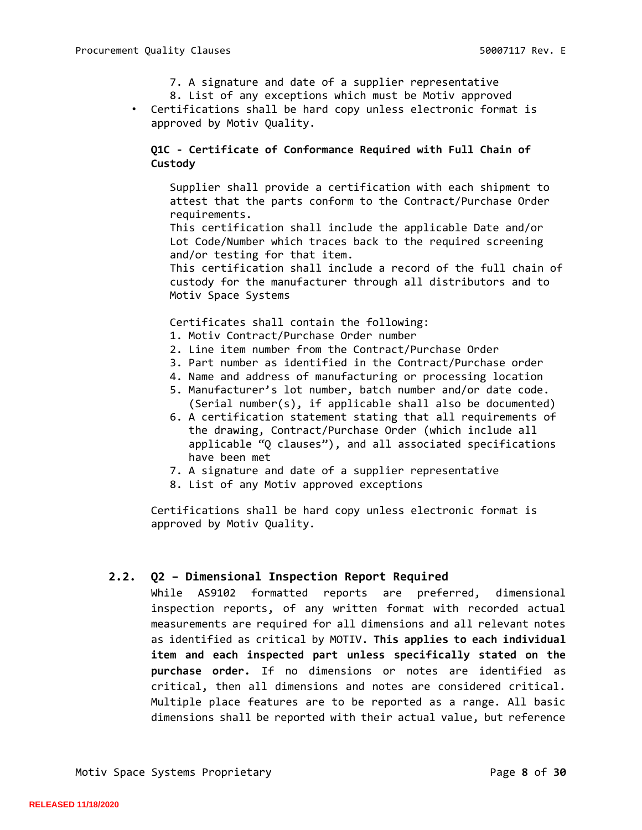- 7. A signature and date of a supplier representative
- 8. List of any exceptions which must be Motiv approved
- Certifications shall be hard copy unless electronic format is approved by Motiv Quality.

# **Q1C - Certificate of Conformance Required with Full Chain of Custody**

Supplier shall provide a certification with each shipment to attest that the parts conform to the Contract/Purchase Order requirements.

This certification shall include the applicable Date and/or Lot Code/Number which traces back to the required screening and/or testing for that item.

This certification shall include a record of the full chain of custody for the manufacturer through all distributors and to Motiv Space Systems

Certificates shall contain the following:

- 1. Motiv Contract/Purchase Order number
- 2. Line item number from the Contract/Purchase Order
- 3. Part number as identified in the Contract/Purchase order
- 4. Name and address of manufacturing or processing location
- 5. Manufacturer's lot number, batch number and/or date code. (Serial number(s), if applicable shall also be documented)
- 6. A certification statement stating that all requirements of the drawing, Contract/Purchase Order (which include all applicable "Q clauses"), and all associated specifications have been met
- 7. A signature and date of a supplier representative
- 8. List of any Motiv approved exceptions

Certifications shall be hard copy unless electronic format is approved by Motiv Quality*.* 

## <span id="page-7-0"></span>**2.2. Q2 – Dimensional Inspection Report Required**

While AS9102 formatted reports are preferred, dimensional inspection reports, of any written format with recorded actual measurements are required for all dimensions and all relevant notes as identified as critical by MOTIV. **This applies to each individual item and each inspected part unless specifically stated on the purchase order.** If no dimensions or notes are identified as critical, then all dimensions and notes are considered critical. Multiple place features are to be reported as a range. All basic dimensions shall be reported with their actual value, but reference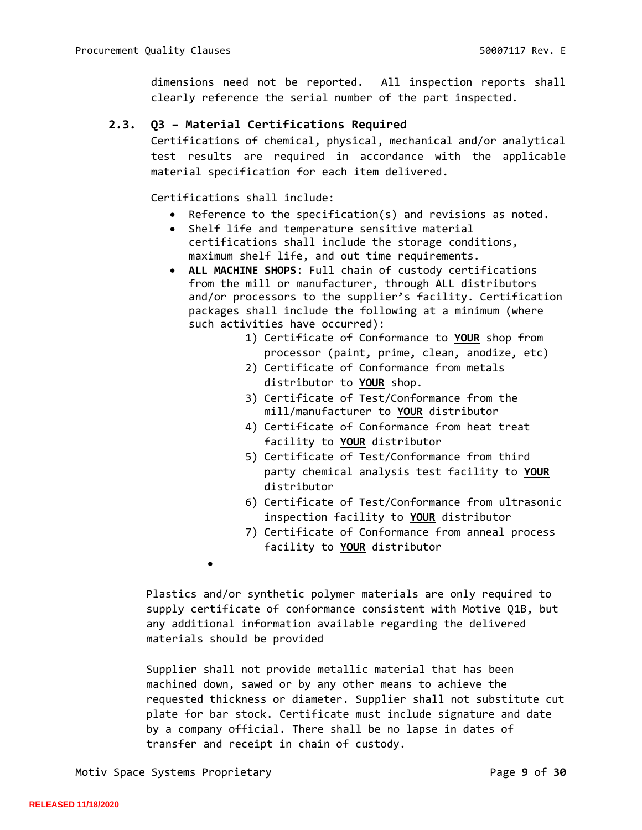dimensions need not be reported. All inspection reports shall clearly reference the serial number of the part inspected.

# <span id="page-8-0"></span>**2.3. Q3 – Material Certifications Required**

Certifications of chemical, physical, mechanical and/or analytical test results are required in accordance with the applicable material specification for each item delivered.

Certifications shall include:

- Reference to the specification(s) and revisions as noted.
- Shelf life and temperature sensitive material certifications shall include the storage conditions, maximum shelf life, and out time requirements.
- **ALL MACHINE SHOPS**: Full chain of custody certifications from the mill or manufacturer, through ALL distributors and/or processors to the supplier's facility. Certification packages shall include the following at a minimum (where such activities have occurred):
	- 1) Certificate of Conformance to **YOUR** shop from processor (paint, prime, clean, anodize, etc)
	- 2) Certificate of Conformance from metals distributor to **YOUR** shop.
	- 3) Certificate of Test/Conformance from the mill/manufacturer to **YOUR** distributor
	- 4) Certificate of Conformance from heat treat facility to **YOUR** distributor
	- 5) Certificate of Test/Conformance from third party chemical analysis test facility to **YOUR** distributor
	- 6) Certificate of Test/Conformance from ultrasonic inspection facility to **YOUR** distributor
	- 7) Certificate of Conformance from anneal process facility to **YOUR** distributor

Plastics and/or synthetic polymer materials are only required to supply certificate of conformance consistent with Motive Q1B, but any additional information available regarding the delivered materials should be provided

Supplier shall not provide metallic material that has been machined down, sawed or by any other means to achieve the requested thickness or diameter. Supplier shall not substitute cut plate for bar stock. Certificate must include signature and date by a company official. There shall be no lapse in dates of transfer and receipt in chain of custody.

•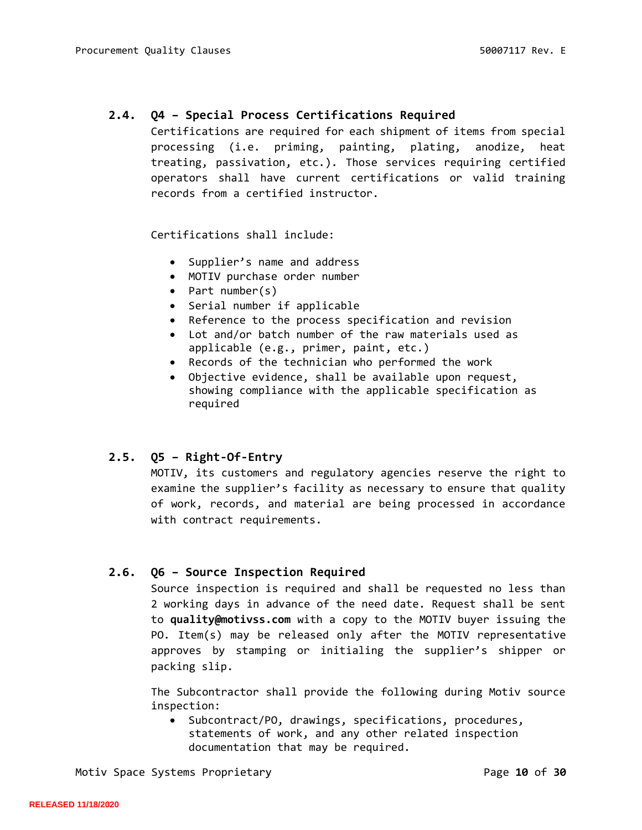# <span id="page-9-0"></span>**2.4. Q4 – Special Process Certifications Required**

Certifications are required for each shipment of items from special processing (i.e. priming, painting, plating, anodize, heat treating, passivation, etc.). Those services requiring certified operators shall have current certifications or valid training records from a certified instructor.

Certifications shall include:

- Supplier's name and address
- MOTIV purchase order number
- Part number(s)
- Serial number if applicable
- Reference to the process specification and revision
- Lot and/or batch number of the raw materials used as applicable (e.g., primer, paint, etc.)
- Records of the technician who performed the work
- Objective evidence, shall be available upon request, showing compliance with the applicable specification as required

## <span id="page-9-1"></span>**2.5. Q5 – Right-Of-Entry**

MOTIV, its customers and regulatory agencies reserve the right to examine the supplier's facility as necessary to ensure that quality of work, records, and material are being processed in accordance with contract requirements.

## <span id="page-9-2"></span>**2.6. Q6 – Source Inspection Required**

Source inspection is required and shall be requested no less than 2 working days in advance of the need date. Request shall be sent to **quality@motivss.com** with a copy to the MOTIV buyer issuing the PO. Item(s) may be released only after the MOTIV representative approves by stamping or initialing the supplier's shipper or packing slip.

The Subcontractor shall provide the following during Motiv source inspection:

• Subcontract/PO, drawings, specifications, procedures, statements of work, and any other related inspection documentation that may be required.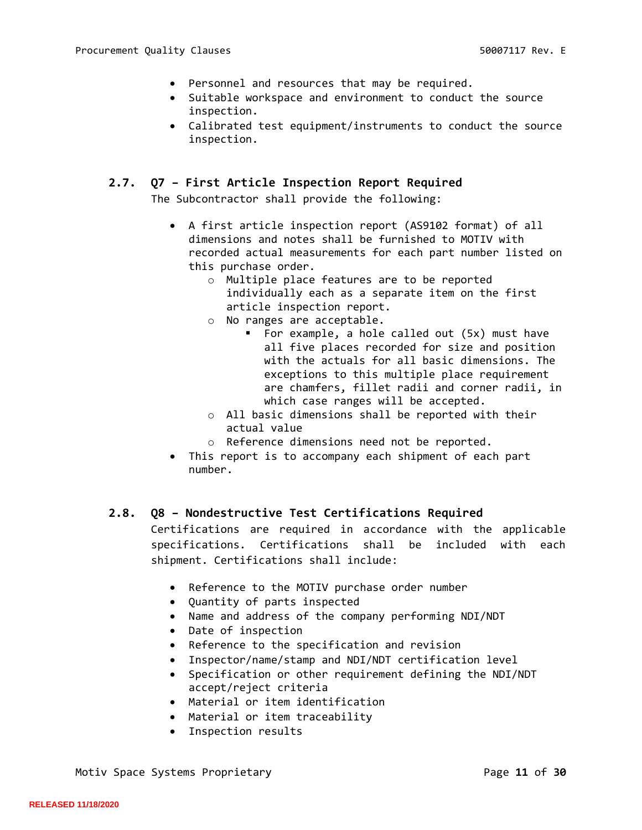- Personnel and resources that may be required.
- Suitable workspace and environment to conduct the source inspection.
- Calibrated test equipment/instruments to conduct the source inspection.

#### <span id="page-10-0"></span>**2.7. Q7 – First Article Inspection Report Required**

The Subcontractor shall provide the following:

- A first article inspection report (AS9102 format) of all dimensions and notes shall be furnished to MOTIV with recorded actual measurements for each part number listed on this purchase order.
	- o Multiple place features are to be reported individually each as a separate item on the first article inspection report.
	- o No ranges are acceptable.
		- For example, a hole called out (5x) must have all five places recorded for size and position with the actuals for all basic dimensions. The exceptions to this multiple place requirement are chamfers, fillet radii and corner radii, in which case ranges will be accepted.
	- o All basic dimensions shall be reported with their actual value
	- o Reference dimensions need not be reported.
- This report is to accompany each shipment of each part number.

## <span id="page-10-1"></span>**2.8. Q8 – Nondestructive Test Certifications Required**

Certifications are required in accordance with the applicable specifications. Certifications shall be included with each shipment. Certifications shall include:

- Reference to the MOTIV purchase order number
- Quantity of parts inspected
- Name and address of the company performing NDI/NDT
- Date of inspection
- Reference to the specification and revision
- Inspector/name/stamp and NDI/NDT certification level
- Specification or other requirement defining the NDI/NDT accept/reject criteria
- Material or item identification
- Material or item traceability
- Inspection results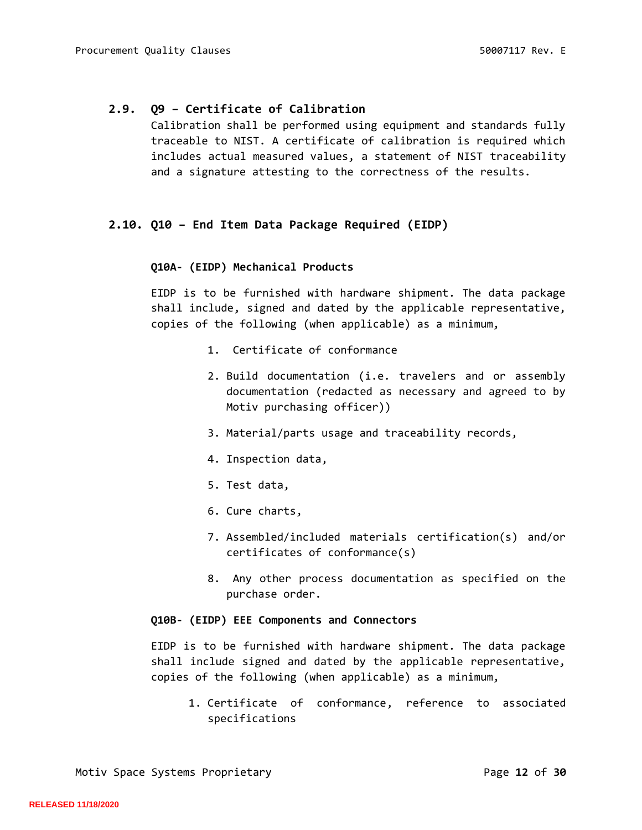## <span id="page-11-0"></span>**2.9. Q9 – Certificate of Calibration**

Calibration shall be performed using equipment and standards fully traceable to NIST. A certificate of calibration is required which includes actual measured values, a statement of NIST traceability and a signature attesting to the correctness of the results.

## <span id="page-11-1"></span>**2.10. Q10 – End Item Data Package Required (EIDP)**

#### **Q10A- (EIDP) Mechanical Products**

EIDP is to be furnished with hardware shipment. The data package shall include, signed and dated by the applicable representative, copies of the following (when applicable) as a minimum,

- 1. Certificate of conformance
- 2. Build documentation (i.e. travelers and or assembly documentation (redacted as necessary and agreed to by Motiv purchasing officer))
- 3. Material/parts usage and traceability records,
- 4. Inspection data,
- 5. Test data,
- 6. Cure charts,
- 7. Assembled/included materials certification(s) and/or certificates of conformance(s)
- 8. Any other process documentation as specified on the purchase order.

#### **Q10B- (EIDP) EEE Components and Connectors**

EIDP is to be furnished with hardware shipment. The data package shall include signed and dated by the applicable representative, copies of the following (when applicable) as a minimum,

1. Certificate of conformance, reference to associated specifications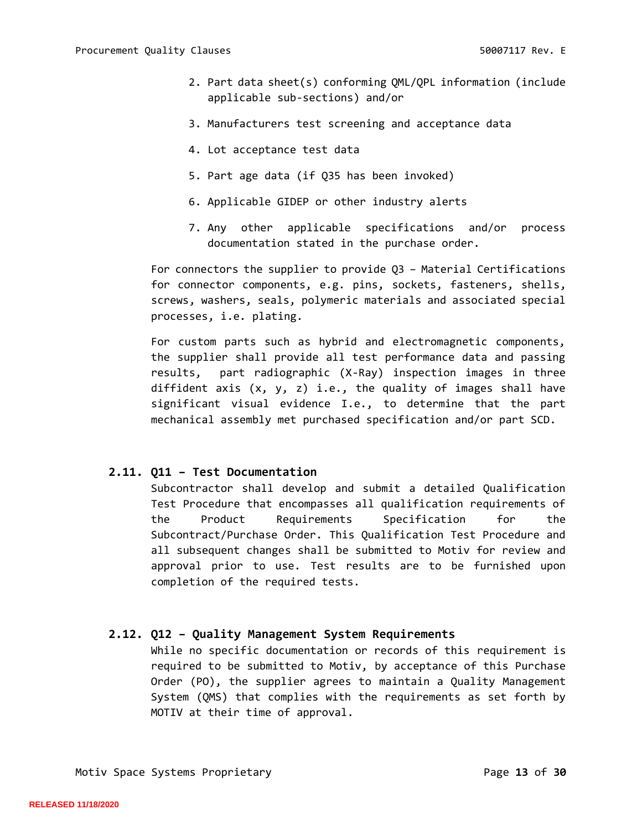- 2. Part data sheet(s) conforming QML/QPL information (include applicable sub-sections) and/or
- 3. Manufacturers test screening and acceptance data
- 4. Lot acceptance test data
- 5. Part age data (if Q35 has been invoked)
- 6. Applicable GIDEP or other industry alerts
- 7. Any other applicable specifications and/or process documentation stated in the purchase order.

For connectors the supplier to provide Q3 – Material Certifications for connector components, e.g. pins, sockets, fasteners, shells, screws, washers, seals, polymeric materials and associated special processes, i.e. plating.

For custom parts such as hybrid and electromagnetic components, the supplier shall provide all test performance data and passing results, part radiographic (X-Ray) inspection images in three diffident axis  $(x, y, z)$  i.e., the quality of images shall have significant visual evidence I.e., to determine that the part mechanical assembly met purchased specification and/or part SCD.

#### <span id="page-12-0"></span>**2.11. Q11 – Test Documentation**

Subcontractor shall develop and submit a detailed Qualification Test Procedure that encompasses all qualification requirements of the Product Requirements Specification for the Subcontract/Purchase Order. This Qualification Test Procedure and all subsequent changes shall be submitted to Motiv for review and approval prior to use. Test results are to be furnished upon completion of the required tests.

#### <span id="page-12-1"></span>**2.12. Q12 – Quality Management System Requirements**

While no specific documentation or records of this requirement is required to be submitted to Motiv, by acceptance of this Purchase Order (PO), the supplier agrees to maintain a Quality Management System (QMS) that complies with the requirements as set forth by MOTIV at their time of approval.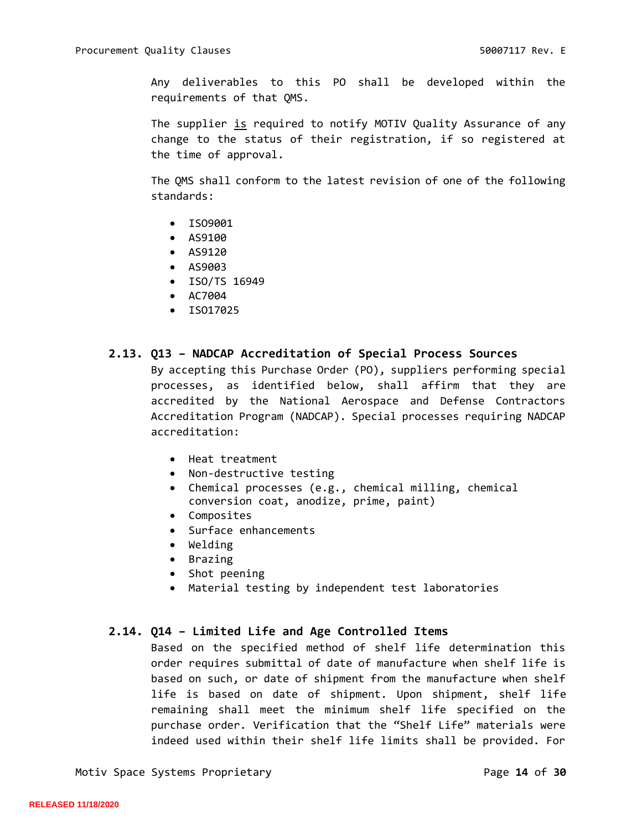Any deliverables to this PO shall be developed within the requirements of that QMS.

The supplier is required to notify MOTIV Quality Assurance of any change to the status of their registration, if so registered at the time of approval.

The QMS shall conform to the latest revision of one of the following standards:

- ISO9001
- AS9100
- AS9120
- AS9003
- ISO/TS 16949
- AC7004
- ISO17025

#### <span id="page-13-0"></span>**2.13. Q13 – NADCAP Accreditation of Special Process Sources**

By accepting this Purchase Order (PO), suppliers performing special processes, as identified below, shall affirm that they are accredited by the National Aerospace and Defense Contractors Accreditation Program (NADCAP). Special processes requiring NADCAP accreditation:

- Heat treatment
- Non-destructive testing
- Chemical processes (e.g., chemical milling, chemical conversion coat, anodize, prime, paint)
- Composites
- Surface enhancements
- Welding
- Brazing
- Shot peening
- Material testing by independent test laboratories

# <span id="page-13-1"></span>**2.14. Q14 – Limited Life and Age Controlled Items**

Based on the specified method of shelf life determination this order requires submittal of date of manufacture when shelf life is based on such, or date of shipment from the manufacture when shelf life is based on date of shipment. Upon shipment, shelf life remaining shall meet the minimum shelf life specified on the purchase order. Verification that the "Shelf Life" materials were indeed used within their shelf life limits shall be provided. For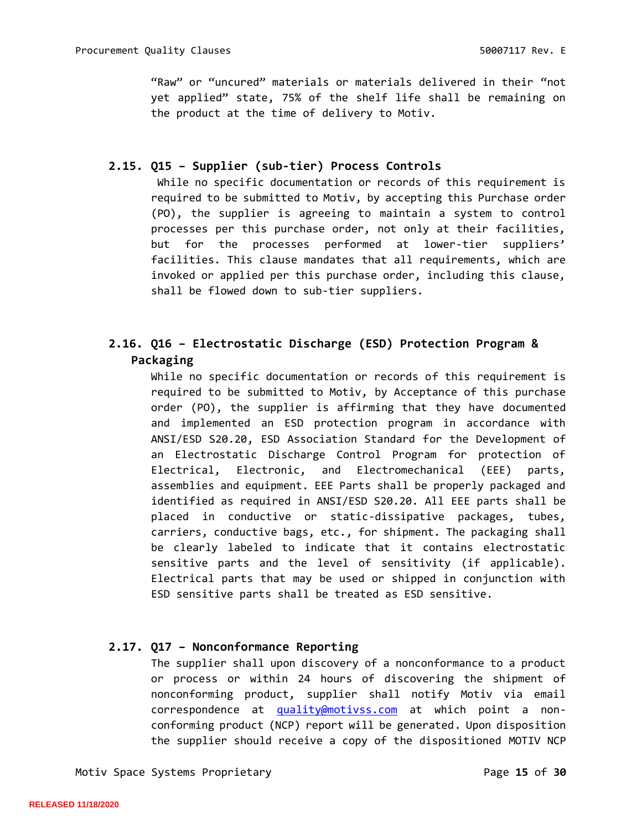"Raw" or "uncured" materials or materials delivered in their "not yet applied" state, 75% of the shelf life shall be remaining on the product at the time of delivery to Motiv.

# <span id="page-14-0"></span>**2.15. Q15 – Supplier (sub-tier) Process Controls**

While no specific documentation or records of this requirement is required to be submitted to Motiv, by accepting this Purchase order (PO), the supplier is agreeing to maintain a system to control processes per this purchase order, not only at their facilities, but for the processes performed at lower-tier suppliers' facilities. This clause mandates that all requirements, which are invoked or applied per this purchase order, including this clause, shall be flowed down to sub-tier suppliers.

# <span id="page-14-1"></span>**2.16. Q16 – Electrostatic Discharge (ESD) Protection Program & Packaging**

While no specific documentation or records of this requirement is required to be submitted to Motiv, by Acceptance of this purchase order (PO), the supplier is affirming that they have documented and implemented an ESD protection program in accordance with ANSI/ESD S20.20, ESD Association Standard for the Development of an Electrostatic Discharge Control Program for protection of Electrical, Electronic, and Electromechanical (EEE) parts, assemblies and equipment. EEE Parts shall be properly packaged and identified as required in ANSI/ESD S20.20. All EEE parts shall be placed in conductive or static-dissipative packages, tubes, carriers, conductive bags, etc., for shipment. The packaging shall be clearly labeled to indicate that it contains electrostatic sensitive parts and the level of sensitivity (if applicable). Electrical parts that may be used or shipped in conjunction with ESD sensitive parts shall be treated as ESD sensitive.

## <span id="page-14-2"></span>**2.17. Q17 – Nonconformance Reporting**

The supplier shall upon discovery of a nonconformance to a product or process or within 24 hours of discovering the shipment of nonconforming product, supplier shall notify Motiv via email correspondence at [quality@motivss.com](mailto:quality@motivss.com) at which point a nonconforming product (NCP) report will be generated. Upon disposition the supplier should receive a copy of the dispositioned MOTIV NCP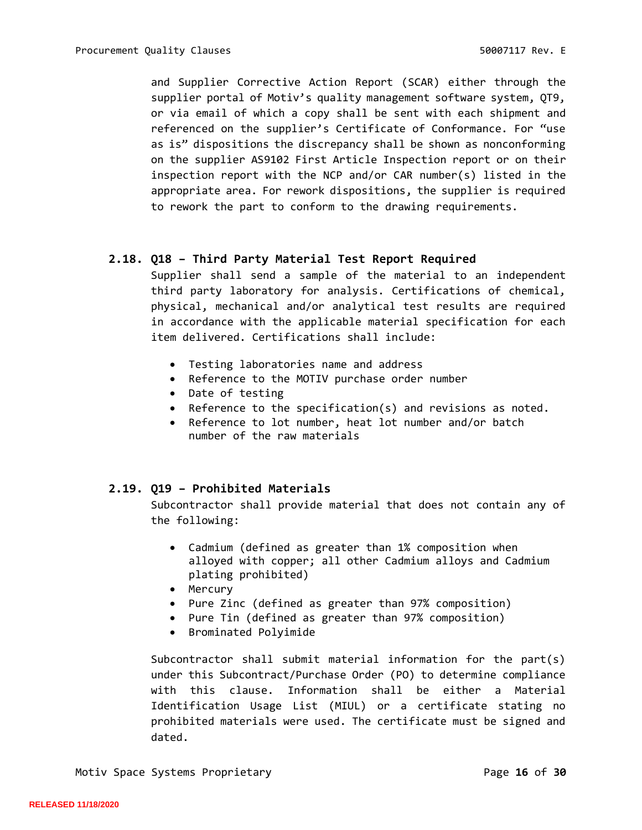and Supplier Corrective Action Report (SCAR) either through the supplier portal of Motiv's quality management software system, QT9, or via email of which a copy shall be sent with each shipment and referenced on the supplier's Certificate of Conformance. For "use as is" dispositions the discrepancy shall be shown as nonconforming on the supplier AS9102 First Article Inspection report or on their inspection report with the NCP and/or CAR number(s) listed in the appropriate area. For rework dispositions, the supplier is required to rework the part to conform to the drawing requirements.

## <span id="page-15-0"></span>**2.18. Q18 – Third Party Material Test Report Required**

Supplier shall send a sample of the material to an independent third party laboratory for analysis. Certifications of chemical, physical, mechanical and/or analytical test results are required in accordance with the applicable material specification for each item delivered. Certifications shall include:

- Testing laboratories name and address
- Reference to the MOTIV purchase order number
- Date of testing
- Reference to the specification(s) and revisions as noted.
- Reference to lot number, heat lot number and/or batch number of the raw materials

## <span id="page-15-1"></span>**2.19. Q19 – Prohibited Materials**

Subcontractor shall provide material that does not contain any of the following:

- Cadmium (defined as greater than 1% composition when alloyed with copper; all other Cadmium alloys and Cadmium plating prohibited)
- Mercury
- Pure Zinc (defined as greater than 97% composition)
- Pure Tin (defined as greater than 97% composition)
- Brominated Polyimide

Subcontractor shall submit material information for the part(s) under this Subcontract/Purchase Order (PO) to determine compliance with this clause. Information shall be either a Material Identification Usage List (MIUL) or a certificate stating no prohibited materials were used. The certificate must be signed and dated.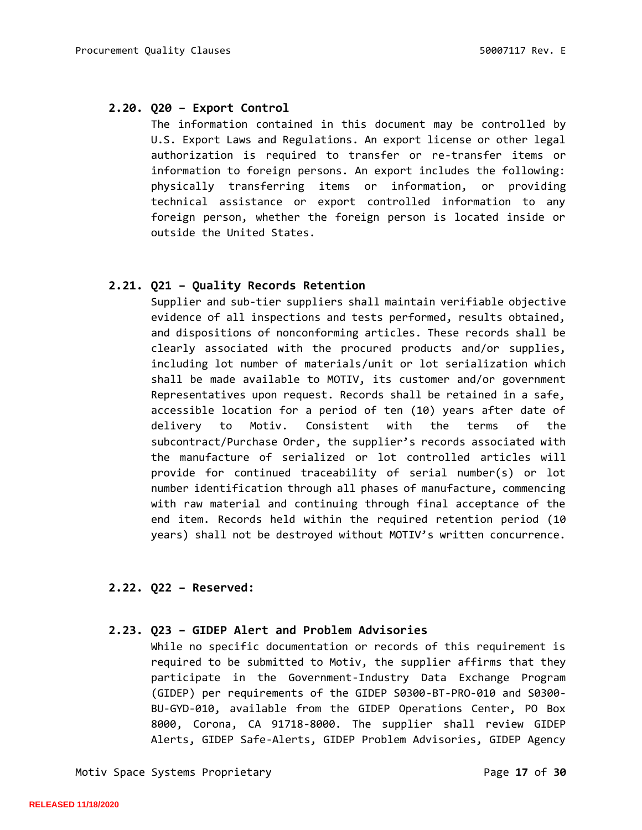## <span id="page-16-0"></span>**2.20. Q20 – Export Control**

The information contained in this document may be controlled by U.S. Export Laws and Regulations. An export license or other legal authorization is required to transfer or re-transfer items or information to foreign persons. An export includes the following: physically transferring items or information, or providing technical assistance or export controlled information to any foreign person, whether the foreign person is located inside or outside the United States.

#### <span id="page-16-1"></span>**2.21. Q21 – Quality Records Retention**

Supplier and sub-tier suppliers shall maintain verifiable objective evidence of all inspections and tests performed, results obtained, and dispositions of nonconforming articles. These records shall be clearly associated with the procured products and/or supplies, including lot number of materials/unit or lot serialization which shall be made available to MOTIV, its customer and/or government Representatives upon request. Records shall be retained in a safe, accessible location for a period of ten (10) years after date of delivery to Motiv. Consistent with the terms of the subcontract/Purchase Order, the supplier's records associated with the manufacture of serialized or lot controlled articles will provide for continued traceability of serial number(s) or lot number identification through all phases of manufacture, commencing with raw material and continuing through final acceptance of the end item. Records held within the required retention period (10 years) shall not be destroyed without MOTIV's written concurrence.

## <span id="page-16-2"></span>**2.22. Q22 – Reserved:**

#### <span id="page-16-3"></span>**2.23. Q23 – GIDEP Alert and Problem Advisories**

While no specific documentation or records of this requirement is required to be submitted to Motiv, the supplier affirms that they participate in the Government-Industry Data Exchange Program (GIDEP) per requirements of the GIDEP S0300-BT-PRO-010 and S0300- BU-GYD-010, available from the GIDEP Operations Center, PO Box 8000, Corona, CA 91718-8000. The supplier shall review GIDEP Alerts, GIDEP Safe-Alerts, GIDEP Problem Advisories, GIDEP Agency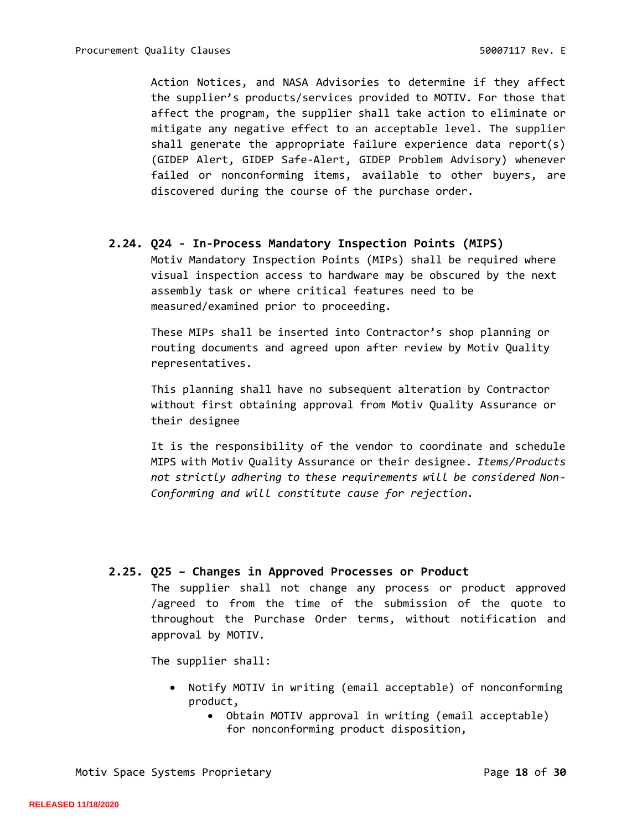Action Notices, and NASA Advisories to determine if they affect the supplier's products/services provided to MOTIV. For those that affect the program, the supplier shall take action to eliminate or mitigate any negative effect to an acceptable level. The supplier shall generate the appropriate failure experience data report(s) (GIDEP Alert, GIDEP Safe-Alert, GIDEP Problem Advisory) whenever failed or nonconforming items, available to other buyers, are discovered during the course of the purchase order.

#### <span id="page-17-0"></span>**2.24. Q24 - In-Process Mandatory Inspection Points (MIPS)**

Motiv Mandatory Inspection Points (MIPs) shall be required where visual inspection access to hardware may be obscured by the next assembly task or where critical features need to be measured/examined prior to proceeding.

These MIPs shall be inserted into Contractor's shop planning or routing documents and agreed upon after review by Motiv Quality representatives.

This planning shall have no subsequent alteration by Contractor without first obtaining approval from Motiv Quality Assurance or their designee

It is the responsibility of the vendor to coordinate and schedule MIPS with Motiv Quality Assurance or their designee. *Items/Products not strictly adhering to these requirements will be considered Non-Conforming and will constitute cause for rejection.*

#### <span id="page-17-1"></span>**2.25. Q25 – Changes in Approved Processes or Product**

The supplier shall not change any process or product approved /agreed to from the time of the submission of the quote to throughout the Purchase Order terms, without notification and approval by MOTIV.

The supplier shall:

- Notify MOTIV in writing (email acceptable) of nonconforming product,
	- Obtain MOTIV approval in writing (email acceptable) for nonconforming product disposition,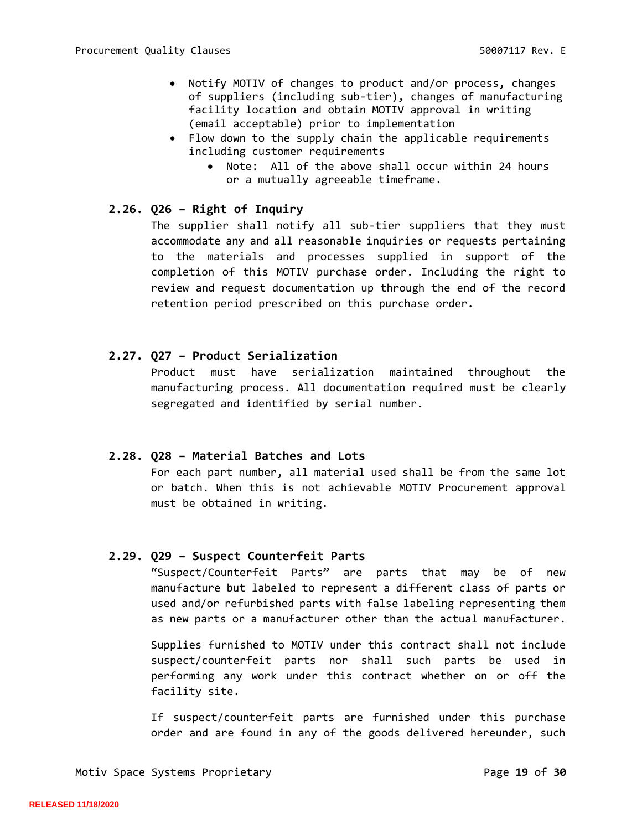- Notify MOTIV of changes to product and/or process, changes of suppliers (including sub-tier), changes of manufacturing facility location and obtain MOTIV approval in writing (email acceptable) prior to implementation
- Flow down to the supply chain the applicable requirements including customer requirements
	- Note: All of the above shall occur within 24 hours or a mutually agreeable timeframe.

#### <span id="page-18-0"></span>**2.26. Q26 – Right of Inquiry**

The supplier shall notify all sub-tier suppliers that they must accommodate any and all reasonable inquiries or requests pertaining to the materials and processes supplied in support of the completion of this MOTIV purchase order. Including the right to review and request documentation up through the end of the record retention period prescribed on this purchase order.

#### <span id="page-18-1"></span>**2.27. Q27 – Product Serialization**

Product must have serialization maintained throughout the manufacturing process. All documentation required must be clearly segregated and identified by serial number.

#### <span id="page-18-2"></span>**2.28. Q28 – Material Batches and Lots**

For each part number, all material used shall be from the same lot or batch. When this is not achievable MOTIV Procurement approval must be obtained in writing.

#### <span id="page-18-3"></span>**2.29. Q29 – Suspect Counterfeit Parts**

"Suspect/Counterfeit Parts" are parts that may be of new manufacture but labeled to represent a different class of parts or used and/or refurbished parts with false labeling representing them as new parts or a manufacturer other than the actual manufacturer.

Supplies furnished to MOTIV under this contract shall not include suspect/counterfeit parts nor shall such parts be used in performing any work under this contract whether on or off the facility site.

If suspect/counterfeit parts are furnished under this purchase order and are found in any of the goods delivered hereunder, such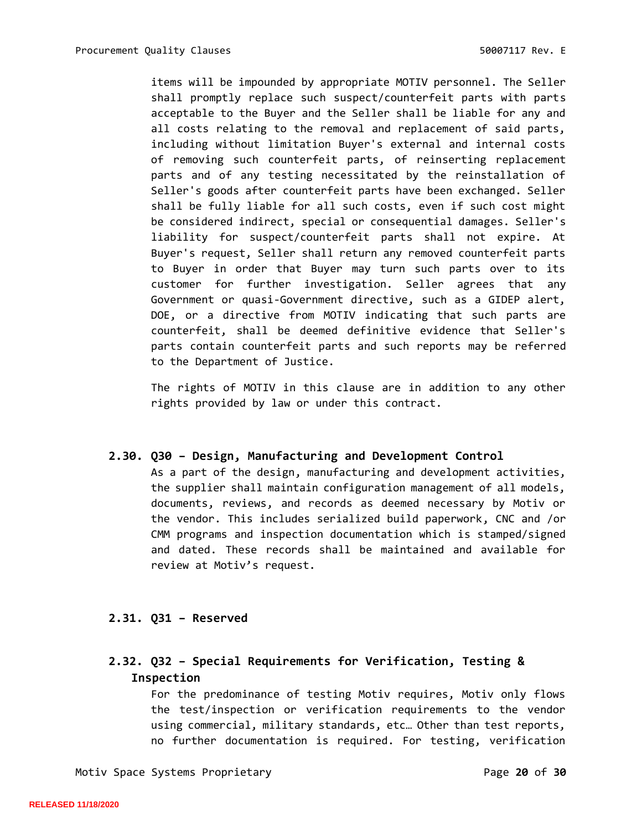items will be impounded by appropriate MOTIV personnel. The Seller shall promptly replace such suspect/counterfeit parts with parts acceptable to the Buyer and the Seller shall be liable for any and all costs relating to the removal and replacement of said parts, including without limitation Buyer's external and internal costs of removing such counterfeit parts, of reinserting replacement parts and of any testing necessitated by the reinstallation of Seller's goods after counterfeit parts have been exchanged. Seller shall be fully liable for all such costs, even if such cost might be considered indirect, special or consequential damages. Seller's liability for suspect/counterfeit parts shall not expire. At Buyer's request, Seller shall return any removed counterfeit parts to Buyer in order that Buyer may turn such parts over to its customer for further investigation. Seller agrees that any Government or quasi-Government directive, such as a GIDEP alert, DOE, or a directive from MOTIV indicating that such parts are counterfeit, shall be deemed definitive evidence that Seller's parts contain counterfeit parts and such reports may be referred to the Department of Justice.

The rights of MOTIV in this clause are in addition to any other rights provided by law or under this contract.

## <span id="page-19-0"></span>**2.30. Q30 – Design, Manufacturing and Development Control**

As a part of the design, manufacturing and development activities, the supplier shall maintain configuration management of all models, documents, reviews, and records as deemed necessary by Motiv or the vendor. This includes serialized build paperwork, CNC and /or CMM programs and inspection documentation which is stamped/signed and dated. These records shall be maintained and available for review at Motiv's request.

## <span id="page-19-2"></span><span id="page-19-1"></span>**2.31. Q31 – Reserved**

# <span id="page-19-3"></span>**2.32. Q32 – Special Requirements for Verification, Testing & Inspection**

For the predominance of testing Motiv requires, Motiv only flows the test/inspection or verification requirements to the vendor using commercial, military standards, etc… Other than test reports, no further documentation is required. For testing, verification

Motiv Space Systems Proprietary **Page 20 of 30**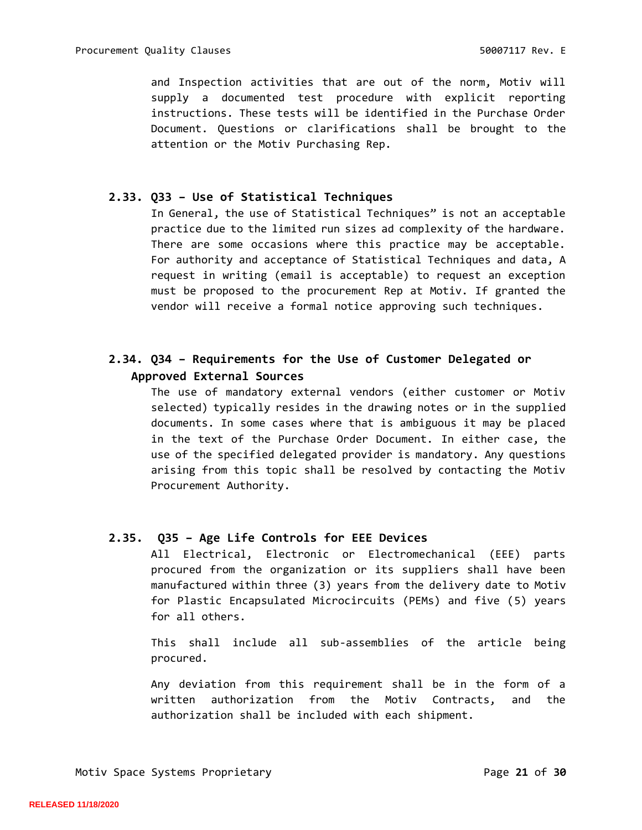and Inspection activities that are out of the norm, Motiv will supply a documented test procedure with explicit reporting instructions. These tests will be identified in the Purchase Order Document. Questions or clarifications shall be brought to the attention or the Motiv Purchasing Rep.

# <span id="page-20-0"></span>**2.33. Q33 – Use of Statistical Techniques**

In General, the use of Statistical Techniques" is not an acceptable practice due to the limited run sizes ad complexity of the hardware. There are some occasions where this practice may be acceptable. For authority and acceptance of Statistical Techniques and data, A request in writing (email is acceptable) to request an exception must be proposed to the procurement Rep at Motiv. If granted the vendor will receive a formal notice approving such techniques.

# <span id="page-20-1"></span>**2.34. Q34 – Requirements for the Use of Customer Delegated or Approved External Sources**

The use of mandatory external vendors (either customer or Motiv selected) typically resides in the drawing notes or in the supplied documents. In some cases where that is ambiguous it may be placed in the text of the Purchase Order Document. In either case, the use of the specified delegated provider is mandatory. Any questions arising from this topic shall be resolved by contacting the Motiv Procurement Authority.

## **2.35. Q35 – Age Life Controls for EEE Devices**

<span id="page-20-2"></span>All Electrical, Electronic or Electromechanical (EEE) parts procured from the organization or its suppliers shall have been manufactured within three (3) years from the delivery date to Motiv for Plastic Encapsulated Microcircuits (PEMs) and five (5) years for all others.

This shall include all sub-assemblies of the article being procured.

Any deviation from this requirement shall be in the form of a written authorization from the Motiv Contracts, and the authorization shall be included with each shipment.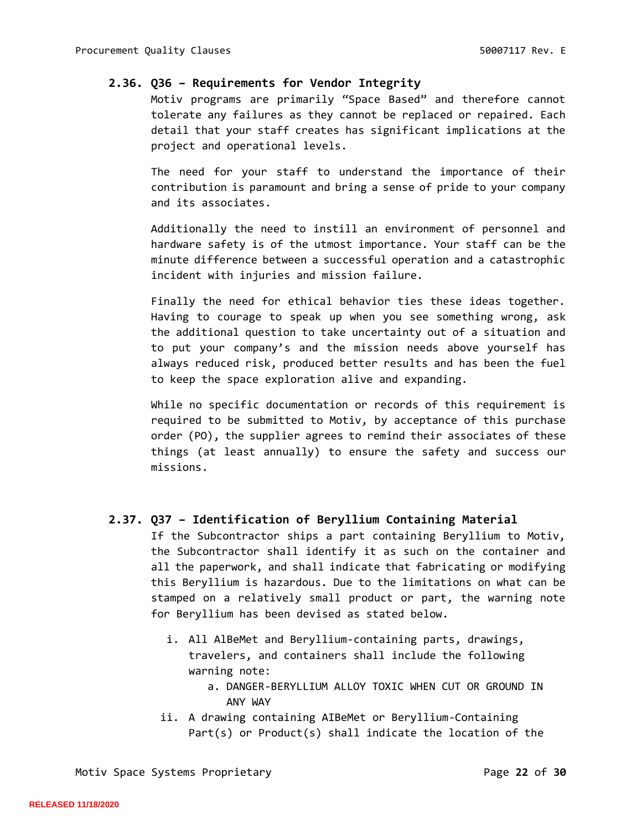#### <span id="page-21-0"></span>**2.36. Q36 – Requirements for Vendor Integrity**

Motiv programs are primarily "Space Based" and therefore cannot tolerate any failures as they cannot be replaced or repaired. Each detail that your staff creates has significant implications at the project and operational levels.

The need for your staff to understand the importance of their contribution is paramount and bring a sense of pride to your company and its associates.

Additionally the need to instill an environment of personnel and hardware safety is of the utmost importance. Your staff can be the minute difference between a successful operation and a catastrophic incident with injuries and mission failure.

Finally the need for ethical behavior ties these ideas together. Having to courage to speak up when you see something wrong, ask the additional question to take uncertainty out of a situation and to put your company's and the mission needs above yourself has always reduced risk, produced better results and has been the fuel to keep the space exploration alive and expanding.

While no specific documentation or records of this requirement is required to be submitted to Motiv, by acceptance of this purchase order (PO), the supplier agrees to remind their associates of these things (at least annually) to ensure the safety and success our missions.

## <span id="page-21-1"></span>**2.37. Q37 – Identification of Beryllium Containing Material**

If the Subcontractor ships a part containing Beryllium to Motiv, the Subcontractor shall identify it as such on the container and all the paperwork, and shall indicate that fabricating or modifying this Beryllium is hazardous. Due to the limitations on what can be stamped on a relatively small product or part, the warning note for Beryllium has been devised as stated below.

- i. All AlBeMet and Beryllium-containing parts, drawings, travelers, and containers shall include the following warning note:
	- a. DANGER-BERYLLIUM ALLOY TOXIC WHEN CUT OR GROUND IN ANY WAY
- ii. A drawing containing AIBeMet or Beryllium-Containing Part(s) or Product(s) shall indicate the location of the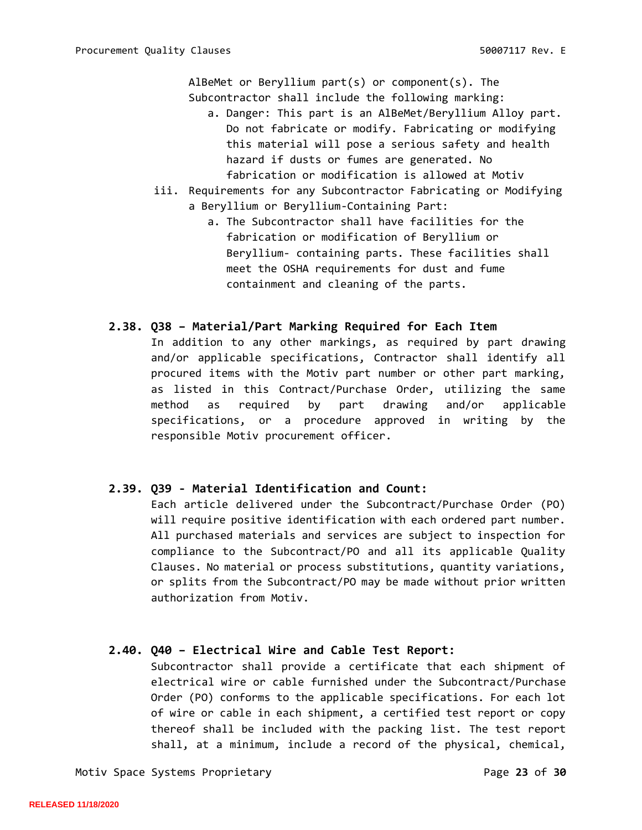AlBeMet or Beryllium part(s) or component(s). The Subcontractor shall include the following marking:

- a. Danger: This part is an AlBeMet/Beryllium Alloy part. Do not fabricate or modify. Fabricating or modifying this material will pose a serious safety and health hazard if dusts or fumes are generated. No fabrication or modification is allowed at Motiv
- iii. Requirements for any Subcontractor Fabricating or Modifying a Beryllium or Beryllium-Containing Part:
	- a. The Subcontractor shall have facilities for the fabrication or modification of Beryllium or Beryllium- containing parts. These facilities shall meet the OSHA requirements for dust and fume containment and cleaning of the parts.

## <span id="page-22-0"></span>**2.38. Q38 – Material/Part Marking Required for Each Item**

In addition to any other markings, as required by part drawing and/or applicable specifications, Contractor shall identify all procured items with the Motiv part number or other part marking, as listed in this Contract/Purchase Order, utilizing the same method as required by part drawing and/or applicable specifications, or a procedure approved in writing by the responsible Motiv procurement officer.

## <span id="page-22-1"></span>**2.39. Q39 - Material Identification and Count:**

Each article delivered under the Subcontract/Purchase Order (PO) will require positive identification with each ordered part number. All purchased materials and services are subject to inspection for compliance to the Subcontract/PO and all its applicable Quality Clauses. No material or process substitutions, quantity variations, or splits from the Subcontract/PO may be made without prior written authorization from Motiv.

## <span id="page-22-2"></span>**2.40. Q40 – Electrical Wire and Cable Test Report:**

Subcontractor shall provide a certificate that each shipment of electrical wire or cable furnished under the Subcontract/Purchase Order (PO) conforms to the applicable specifications. For each lot of wire or cable in each shipment, a certified test report or copy thereof shall be included with the packing list. The test report shall, at a minimum, include a record of the physical, chemical,

Motiv Space Systems Proprietary **Page 23 of 30**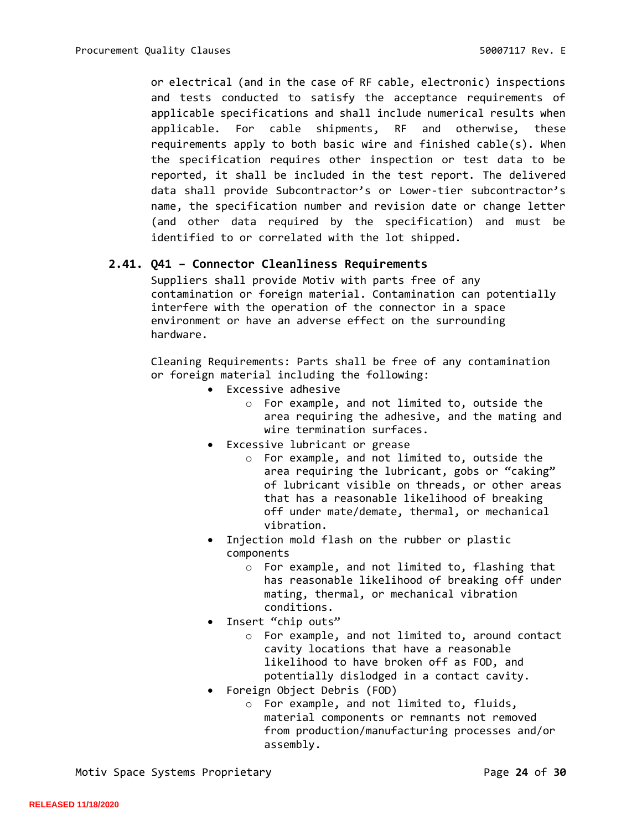or electrical (and in the case of RF cable, electronic) inspections and tests conducted to satisfy the acceptance requirements of applicable specifications and shall include numerical results when applicable. For cable shipments, RF and otherwise, these requirements apply to both basic wire and finished cable(s). When the specification requires other inspection or test data to be reported, it shall be included in the test report. The delivered data shall provide Subcontractor's or Lower-tier subcontractor's name, the specification number and revision date or change letter (and other data required by the specification) and must be identified to or correlated with the lot shipped.

#### <span id="page-23-0"></span>**2.41. Q41 – Connector Cleanliness Requirements**

Suppliers shall provide Motiv with parts free of any contamination or foreign material. Contamination can potentially interfere with the operation of the connector in a space environment or have an adverse effect on the surrounding hardware.

Cleaning Requirements: Parts shall be free of any contamination or foreign material including the following:

- Excessive adhesive
	- o For example, and not limited to, outside the area requiring the adhesive, and the mating and wire termination surfaces.
- Excessive lubricant or grease
	- o For example, and not limited to, outside the area requiring the lubricant, gobs or "caking" of lubricant visible on threads, or other areas that has a reasonable likelihood of breaking off under mate/demate, thermal, or mechanical vibration.
- Injection mold flash on the rubber or plastic components
	- o For example, and not limited to, flashing that has reasonable likelihood of breaking off under mating, thermal, or mechanical vibration conditions.
- Insert "chip outs"
	- o For example, and not limited to, around contact cavity locations that have a reasonable likelihood to have broken off as FOD, and potentially dislodged in a contact cavity.
- Foreign Object Debris (FOD)
	- o For example, and not limited to, fluids, material components or remnants not removed from production/manufacturing processes and/or assembly.

Motiv Space Systems Proprietary **Page 24 of 30**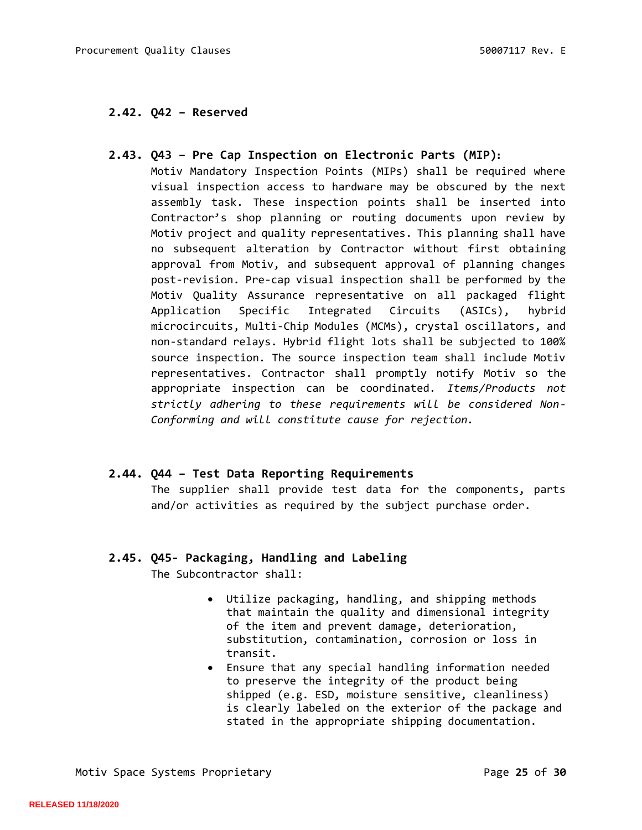# <span id="page-24-0"></span>**2.42. Q42 – Reserved**

## <span id="page-24-1"></span>**2.43. Q43 – Pre Cap Inspection on Electronic Parts (MIP):**

Motiv Mandatory Inspection Points (MIPs) shall be required where visual inspection access to hardware may be obscured by the next assembly task. These inspection points shall be inserted into Contractor's shop planning or routing documents upon review by Motiv project and quality representatives. This planning shall have no subsequent alteration by Contractor without first obtaining approval from Motiv, and subsequent approval of planning changes post-revision. Pre-cap visual inspection shall be performed by the Motiv Quality Assurance representative on all packaged flight Application Specific Integrated Circuits (ASICs), hybrid microcircuits, Multi-Chip Modules (MCMs), crystal oscillators, and non-standard relays. Hybrid flight lots shall be subjected to 100% source inspection. The source inspection team shall include Motiv representatives. Contractor shall promptly notify Motiv so the appropriate inspection can be coordinated. *Items/Products not strictly adhering to these requirements will be considered Non-Conforming and will constitute cause for rejection.*

## <span id="page-24-2"></span>**2.44. Q44 – Test Data Reporting Requirements**

The supplier shall provide test data for the components, parts and/or activities as required by the subject purchase order.

# <span id="page-24-3"></span>**2.45. Q45- Packaging, Handling and Labeling**

The Subcontractor shall:

- Utilize packaging, handling, and shipping methods that maintain the quality and dimensional integrity of the item and prevent damage, deterioration, substitution, contamination, corrosion or loss in transit.
- Ensure that any special handling information needed to preserve the integrity of the product being shipped (e.g. ESD, moisture sensitive, cleanliness) is clearly labeled on the exterior of the package and stated in the appropriate shipping documentation.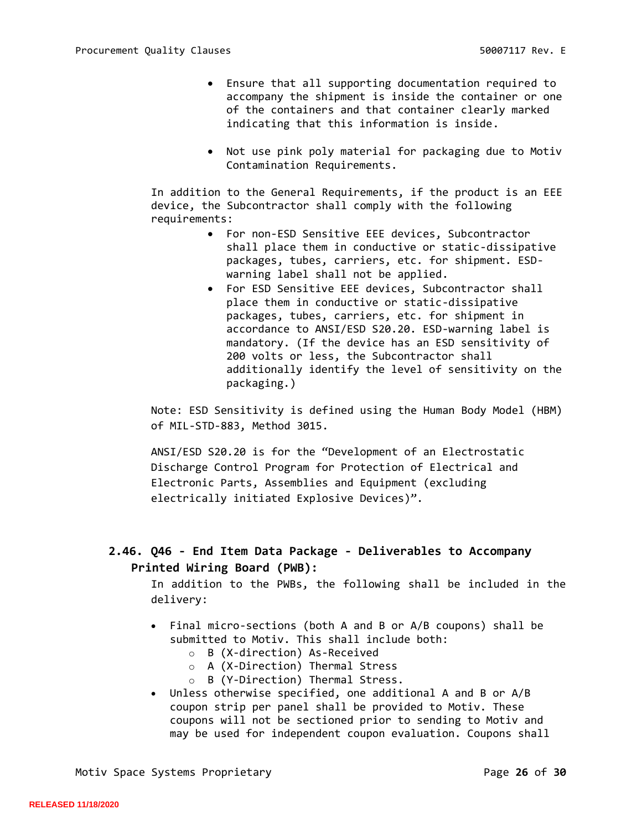- Ensure that all supporting documentation required to accompany the shipment is inside the container or one of the containers and that container clearly marked indicating that this information is inside.
- Not use pink poly material for packaging due to Motiv Contamination Requirements.

In addition to the General Requirements, if the product is an EEE device, the Subcontractor shall comply with the following requirements:

- For non-ESD Sensitive EEE devices, Subcontractor shall place them in conductive or static-dissipative packages, tubes, carriers, etc. for shipment. ESDwarning label shall not be applied.
- For ESD Sensitive EEE devices, Subcontractor shall place them in conductive or static-dissipative packages, tubes, carriers, etc. for shipment in accordance to ANSI/ESD S20.20. ESD-warning label is mandatory. (If the device has an ESD sensitivity of 200 volts or less, the Subcontractor shall additionally identify the level of sensitivity on the packaging.)

Note: ESD Sensitivity is defined using the Human Body Model (HBM) of MIL-STD-883, Method 3015.

ANSI/ESD S20.20 is for the "Development of an Electrostatic Discharge Control Program for Protection of Electrical and Electronic Parts, Assemblies and Equipment (excluding electrically initiated Explosive Devices)".

# <span id="page-25-0"></span>**2.46. Q46 - End Item Data Package - Deliverables to Accompany Printed Wiring Board (PWB):**

In addition to the PWBs, the following shall be included in the delivery:

- Final micro-sections (both A and B or A/B coupons) shall be submitted to Motiv. This shall include both:
	- o B (X-direction) As-Received
	- o A (X-Direction) Thermal Stress
	- o B (Y-Direction) Thermal Stress.
- Unless otherwise specified, one additional A and B or A/B coupon strip per panel shall be provided to Motiv. These coupons will not be sectioned prior to sending to Motiv and may be used for independent coupon evaluation. Coupons shall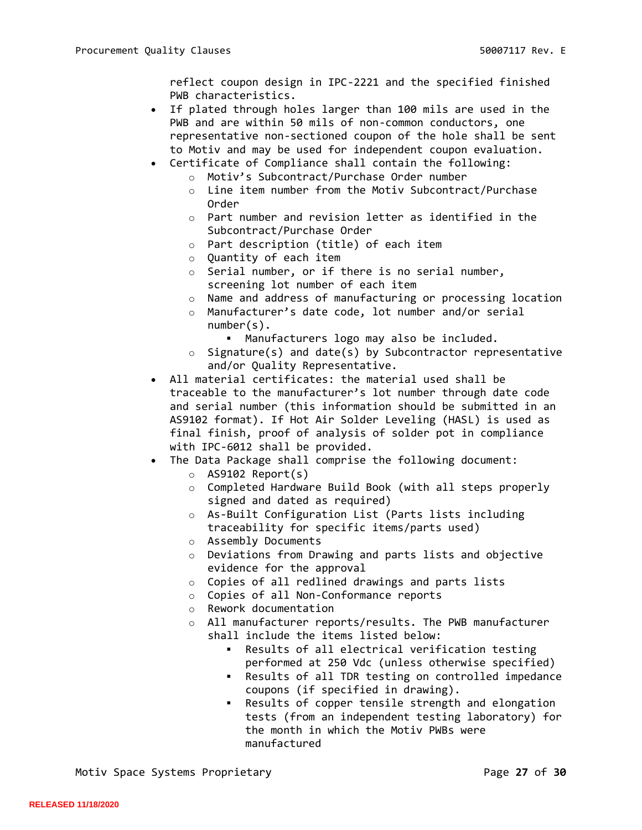reflect coupon design in IPC-2221 and the specified finished PWB characteristics.

- If plated through holes larger than 100 mils are used in the PWB and are within 50 mils of non-common conductors, one representative non-sectioned coupon of the hole shall be sent to Motiv and may be used for independent coupon evaluation.
- Certificate of Compliance shall contain the following:
	- o Motiv's Subcontract/Purchase Order number
	- o Line item number from the Motiv Subcontract/Purchase Order
	- o Part number and revision letter as identified in the Subcontract/Purchase Order
	- o Part description (title) of each item
	- o Quantity of each item
	- o Serial number, or if there is no serial number, screening lot number of each item
	- o Name and address of manufacturing or processing location
	- o Manufacturer's date code, lot number and/or serial number(s).
		- Manufacturers logo may also be included.
	- o Signature(s) and date(s) by Subcontractor representative and/or Quality Representative.
- All material certificates: the material used shall be traceable to the manufacturer's lot number through date code and serial number (this information should be submitted in an AS9102 format). If Hot Air Solder Leveling (HASL) is used as final finish, proof of analysis of solder pot in compliance with IPC-6012 shall be provided.
- The Data Package shall comprise the following document:
	- o AS9102 Report(s)
	- o Completed Hardware Build Book (with all steps properly signed and dated as required)
	- o As-Built Configuration List (Parts lists including traceability for specific items/parts used)
	- o Assembly Documents
	- o Deviations from Drawing and parts lists and objective evidence for the approval
	- o Copies of all redlined drawings and parts lists
	- o Copies of all Non-Conformance reports
	- o Rework documentation
	- o All manufacturer reports/results. The PWB manufacturer shall include the items listed below:
		- Results of all electrical verification testing performed at 250 Vdc (unless otherwise specified)
		- Results of all TDR testing on controlled impedance coupons (if specified in drawing).
		- Results of copper tensile strength and elongation tests (from an independent testing laboratory) for the month in which the Motiv PWBs were manufactured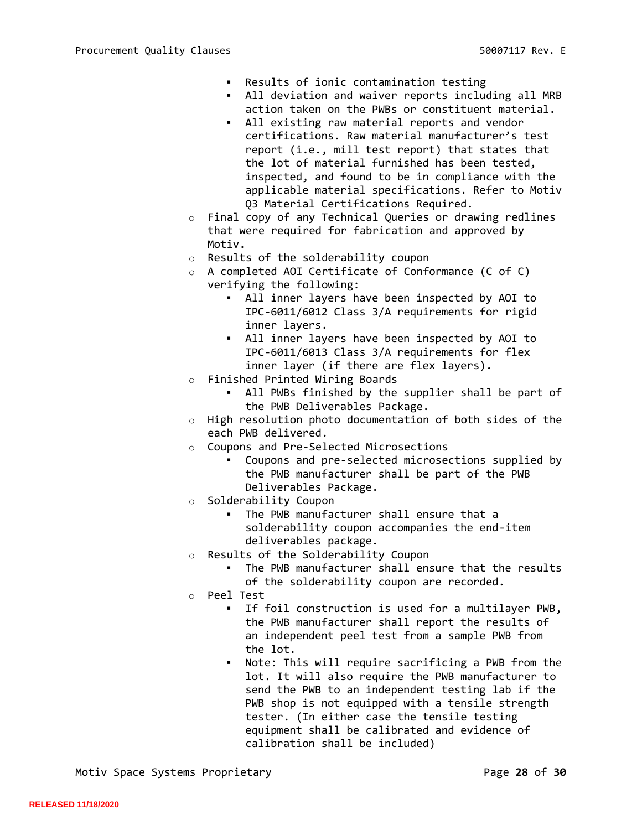- Results of ionic contamination testing
- All deviation and waiver reports including all MRB action taken on the PWBs or constituent material.
- All existing raw material reports and vendor certifications. Raw material manufacturer's test report (i.e., mill test report) that states that the lot of material furnished has been tested, inspected, and found to be in compliance with the applicable material specifications. Refer to Motiv Q3 Material Certifications Required.
- o Final copy of any Technical Queries or drawing redlines that were required for fabrication and approved by Motiv.
- o Results of the solderability coupon
- o A completed AOI Certificate of Conformance (C of C) verifying the following:
	- All inner layers have been inspected by AOI to IPC-6011/6012 Class 3/A requirements for rigid inner layers.
	- All inner layers have been inspected by AOI to IPC-6011/6013 Class 3/A requirements for flex inner layer (if there are flex layers).
- o Finished Printed Wiring Boards
	- All PWBs finished by the supplier shall be part of the PWB Deliverables Package.
- o High resolution photo documentation of both sides of the each PWB delivered.
- o Coupons and Pre-Selected Microsections
	- Coupons and pre-selected microsections supplied by the PWB manufacturer shall be part of the PWB Deliverables Package.
- o Solderability Coupon
	- The PWB manufacturer shall ensure that a solderability coupon accompanies the end-item deliverables package.
- Results of the Solderability Coupon
	- The PWB manufacturer shall ensure that the results of the solderability coupon are recorded.
- o Peel Test
	- If foil construction is used for a multilayer PWB, the PWB manufacturer shall report the results of an independent peel test from a sample PWB from the lot.
	- Note: This will require sacrificing a PWB from the lot. It will also require the PWB manufacturer to send the PWB to an independent testing lab if the PWB shop is not equipped with a tensile strength tester. (In either case the tensile testing equipment shall be calibrated and evidence of calibration shall be included)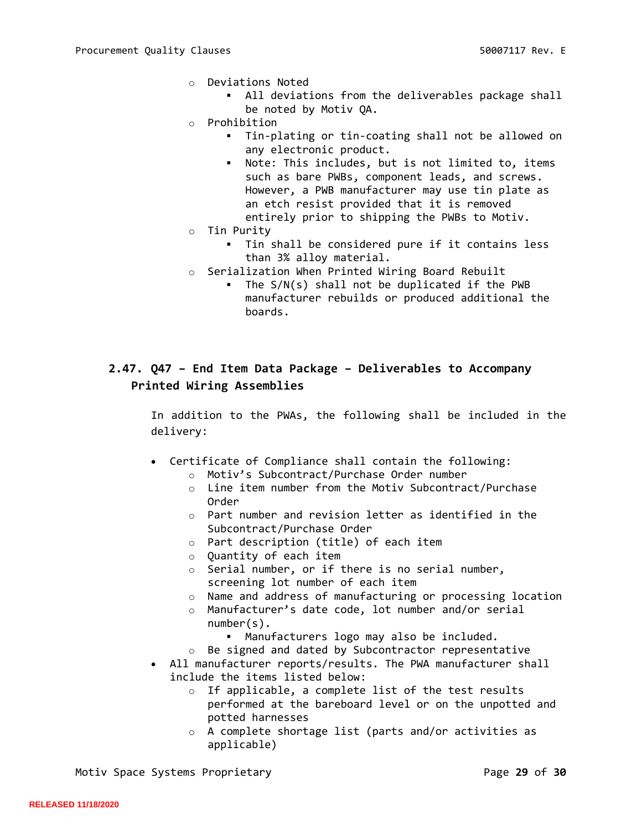- o Deviations Noted
	- All deviations from the deliverables package shall be noted by Motiv QA.
- o Prohibition
	- Tin-plating or tin-coating shall not be allowed on any electronic product.
	- Note: This includes, but is not limited to, items such as bare PWBs, component leads, and screws. However, a PWB manufacturer may use tin plate as an etch resist provided that it is removed entirely prior to shipping the PWBs to Motiv.
- o Tin Purity
	- Tin shall be considered pure if it contains less than 3% alloy material.
- o Serialization When Printed Wiring Board Rebuilt
	- The  $S/N(s)$  shall not be duplicated if the PWB manufacturer rebuilds or produced additional the boards.

# <span id="page-28-0"></span>**2.47. Q47 – End Item Data Package – Deliverables to Accompany Printed Wiring Assemblies**

In addition to the PWAs, the following shall be included in the delivery:

- Certificate of Compliance shall contain the following:
	- o Motiv's Subcontract/Purchase Order number
	- o Line item number from the Motiv Subcontract/Purchase Order
	- o Part number and revision letter as identified in the Subcontract/Purchase Order
	- o Part description (title) of each item
	- o Quantity of each item
	- o Serial number, or if there is no serial number, screening lot number of each item
	- o Name and address of manufacturing or processing location
	- o Manufacturer's date code, lot number and/or serial number(s).
		- Manufacturers logo may also be included.
	- o Be signed and dated by Subcontractor representative
- All manufacturer reports/results. The PWA manufacturer shall include the items listed below:
	- o If applicable, a complete list of the test results performed at the bareboard level or on the unpotted and potted harnesses
	- o A complete shortage list (parts and/or activities as applicable)